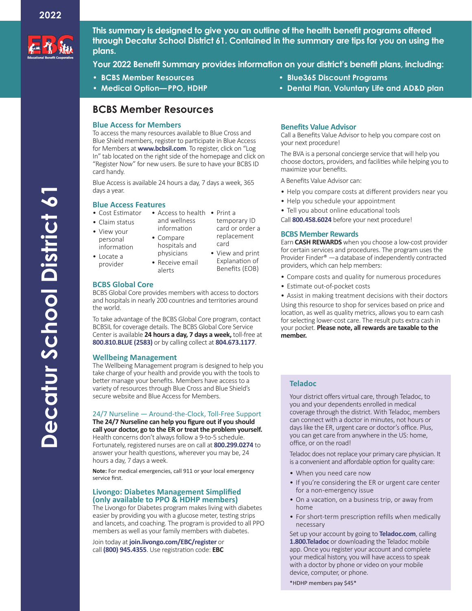

**This summary is designed to give you an outline of the health benefit programs offered through Decatur School District 61. Contained in the summary are tips for you on using the plans.**

**Your 2022 Benefit Summary provides information on your district's benefit plans, including:**

- **• BCBS Member Resources**
- **• Medical Option—PPO, HDHP**

# **BCBS Member Resources**

### **Blue Access for Members**

To access the many resources available to Blue Cross and Blue Shield members, register to participate in Blue Access for Members at **www.bcbsil.com**. To register, click on "Log In" tab located on the right side of the homepage and click on "Register Now" for new users. Be sure to have your BCBS ID card handy.

Blue Access is available 24 hours a day, 7 days a week, 365 days a year.

### **Blue Access Features**

- Cost Estimator Access to health Print a
- Claim status
- View your
- personal information
- information • Compare hospitals and
- and wellness temporary ID card or order a replacement card • View and print

Explanation of Benefits (EOB)

- Locate a provider
- physicians • Receive email alerts
- **BCBS Global Core**

BCBS Global Core provides members with access to doctors and hospitals in nearly 200 countries and territories around the world.

To take advantage of the BCBS Global Core program, contact BCBSIL for coverage details. The BCBS Global Core Service Center is available **24 hours a day, 7 days a week,** toll-free at **800.810.BLUE (2583)** or by calling collect at **804.673.1177**.

# **Wellbeing Management**

The Wellbeing Management program is designed to help you take charge of your health and provide you with the tools to better manage your benefits. Members have access to a variety of resources through Blue Cross and Blue Shield's secure website and Blue Access for Members.

# 24/7 Nurseline — Around-the-Clock, Toll-Free Support

**The 24/7 Nurseline can help you figure out if you should call your doctor, go to the ER or treat the problem yourself.** Health concerns don't always follow a 9-to-5 schedule. Fortunately, registered nurses are on call at **800.299.0274** to answer your health questions, wherever you may be, 24 hours a day, 7 days a week.

**Note:** For medical emergencies, call 911 or your local emergency service first.

# **Livongo: Diabetes Management Simplified (only available to PPO & HDHP members)**

The Livongo for Diabetes program makes living with diabetes easier by providing you with a glucose meter, testing strips and lancets, and coaching. The program is provided to all PPO members as well as your family members with diabetes.

Join today at **join.livongo.com/EBC/register** or call **(800) 945.4355**. Use registration code: **EBC**

- **• Blue365 Discount Programs**
- **• Dental Plan, Voluntary Life and AD&D plan**

## **Benefits Value Advisor**

Call a Benefits Value Advisor to help you compare cost on your next procedure!

The BVA is a personal concierge service that will help you choose doctors, providers, and facilities while helping you to maximize your benefits.

A Benefits Value Advisor can:

- Help you compare costs at different providers near you
- Help you schedule your appointment
- Tell you about online educational tools

Call **800.458.6024** before your next procedure!

## **BCBS Member Rewards**

Earn **CASH REWARDS** when you choose a low-cost provider for certain services and procedures. The program uses the Provider Finder® —a database of independently contracted providers, which can help members:

- Compare costs and quality for numerous procedures
- Estimate out-of-pocket costs

• Assist in making treatment decisions with their doctors Using this resource to shop for services based on price and location, as well as quality metrics, allows you to earn cash for selecting lower-cost care. The result puts extra cash in your pocket. **Please note, all rewards are taxable to the member.**

# **Teladoc**

Your district offers virtual care, through Teladoc, to you and your dependents enrolled in medical coverage through the district. With Teladoc, members can connect with a doctor in minutes, not hours or days like the ER, urgent care or doctor's office. Plus, you can get care from anywhere in the US: home, office, or on the road!

Teladoc does not replace your primary care physician. It is a convenient and affordable option for quality care:

- When you need care now
- If you're considering the ER or urgent care center for a non-emergency issue
- On a vacation, on a business trip, or away from home
- For short-term prescription refills when medically necessary

Set up your account by going to **Teladoc.com**, calling **1.800.Teladoc** or downloading the Teladoc mobile app. Once you register your account and complete your medical history, you will have access to speak with a doctor by phone or video on your mobile device, computer, or phone.

\*HDHP members pay \$45\*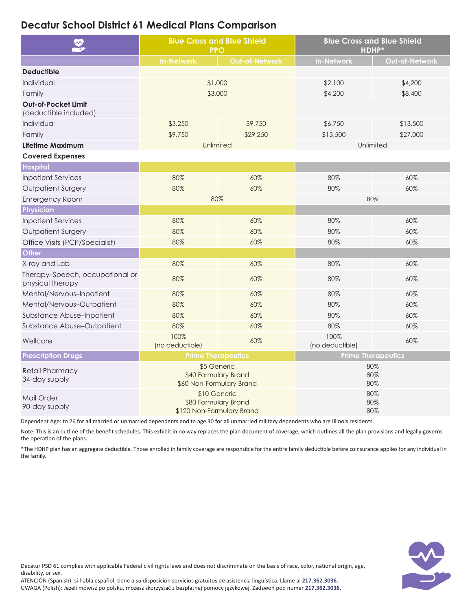# **Decatur School District 61 Medical Plans Comparison**

| <b>V</b>                                            | <b>Blue Cross and Blue Shield</b><br><b>PPO</b>                   |                       | <b>Blue Cross and Blue Shield</b><br><b>HDHP*</b> |                |
|-----------------------------------------------------|-------------------------------------------------------------------|-----------------------|---------------------------------------------------|----------------|
|                                                     | <b>In-Network</b>                                                 | <b>Out-of-Network</b> | <b>In-Network</b>                                 | Out-of-Network |
| <b>Deductible</b>                                   |                                                                   |                       |                                                   |                |
| Individual                                          | \$1,000                                                           |                       | \$2,100                                           | \$4,200        |
| Family                                              | \$3,000                                                           |                       | \$4,200                                           | \$8,400        |
| Out-of-Pocket Limit<br>(deductible included)        |                                                                   |                       |                                                   |                |
| Individual                                          | \$3,250                                                           | \$9,750               | \$6,750                                           | \$13,500       |
| Family                                              | \$9,750                                                           | \$29,250              | \$13,500                                          | \$27,000       |
| Lifetime Maximum                                    | Unlimited                                                         |                       | Unlimited                                         |                |
| <b>Covered Expenses</b>                             |                                                                   |                       |                                                   |                |
| <b>Hospital</b>                                     |                                                                   |                       |                                                   |                |
| <b>Inpatient Services</b>                           | 80%                                                               | 60%                   | 80%                                               | 60%            |
| <b>Outpatient Surgery</b>                           | 80%                                                               | 60%                   | 80%                                               | 60%            |
| <b>Emergency Room</b>                               | 80%                                                               |                       | 80%                                               |                |
| Physician                                           |                                                                   |                       |                                                   |                |
| <b>Inpatient Services</b>                           | 80%                                                               | 60%                   | 80%                                               | 60%            |
| <b>Outpatient Surgery</b>                           | 80%                                                               | 60%                   | 80%                                               | 60%            |
| Office Visits (PCP/Specialist)                      | 80%                                                               | 60%                   | 80%                                               | 60%            |
| Other                                               |                                                                   |                       |                                                   |                |
| X-ray and Lab                                       | 80%                                                               | 60%                   | 80%                                               | 60%            |
| Therapy-Speech, occupational or<br>physical therapy | 80%                                                               | 60%                   | 80%                                               | 60%            |
| Mental/Nervous-Inpatient                            | 80%                                                               | 60%                   | 80%                                               | 60%            |
| Mental/Nervous-Outpatient                           | 80%                                                               | 60%                   | 80%                                               | 60%            |
| Substance Abuse-Inpatient                           | 80%                                                               | 60%                   | 80%                                               | 60%            |
| Substance Abuse-Outpatient                          | 80%                                                               | 60%                   | 80%                                               | 60%            |
| Wellcare                                            | 100%<br>(no deductible)                                           | 60%                   | 100%<br>(no deductible)                           | 60%            |
| <b>Prescription Drugs</b>                           | <b>Prime Therapeutics</b>                                         |                       | <b>Prime Therapeutics</b>                         |                |
| <b>Retail Pharmacy</b><br>34-day supply             | \$5 Generic<br>\$40 Formulary Brand<br>\$60 Non-Formulary Brand   |                       | 80%<br>80%<br>80%                                 |                |
| Mail Order<br>90-day supply                         | \$10 Generic<br>\$80 Formulary Brand<br>\$120 Non-Formulary Brand |                       | 80%<br>80%<br>80%                                 |                |

Dependent Age: to 26 for all married or unmarried dependents and to age 30 for all unmarried military dependents who are Illinois residents.

Note: This is an outline of the benefit schedules. This exhibit in no way replaces the plan document of coverage, which outlines all the plan provisions and legally governs the operation of the plans.

\*The HDHP plan has an aggregate deductible. Those enrolled in family coverage are responsible for the entire family deductible before coinsurance applies for any individual in the family.



Decatur PSD 61 complies with applicable Federal civil rights laws and does not discriminate on the basis of race, color, national origin, age, disability, or sex.

ATENCIÓN (Spanish): si habla español, tiene a su disposición servicios gratuitos de asistencia lingüística. Llame al **217.362.3036**. UWAGA (Polish): Jeżeli mówisz po polsku, możesz skorzystać z bezpłatnej pomocy językowej. Zadzwoń pod numer **217.362.3036**.